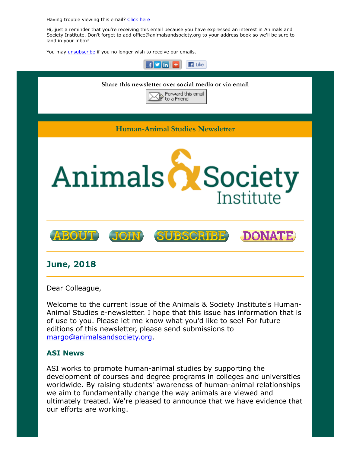Having trouble viewing this email? [Click](http://campaign.r20.constantcontact.com/render?ca=03b972d2-1d06-4247-b480-0d6c0f4968c5&preview=true&m=1117082078075&id=preview) here

Hi, just a reminder that you're receiving this email because you have expressed an interest in Animals and Society Institute. Don't forget to add office@animalsandsociety.org to your address book so we'll be sure to land in your inbox!

You may *[unsubscribe](https://visitor.constantcontact.com/do?p=un&mse=0016u8cGCOk4ijLe6EYFlbq8UmlFeKV0nFU&t=001eOSZlruSewtUBPjEINJCXw%3D%3D&id=001b-xBWU3VMkcM8dYr8taaWXSJRe02Iknl&llr=88spulqab)* if you no longer wish to receive our emails.



Welcome to the current issue of the Animals & Society Institute's Human-Animal Studies e-newsletter. I hope that this issue has information that is of use to you. Please let me know what you'd like to see! For future editions of this newsletter, please send submissions to [margo@animalsandsociety.org](mailto:margo@animalsandsociety.org).

#### **ASI News**

ASI works to promote human-animal studies by supporting the development of courses and degree programs in colleges and universities worldwide. By raising students' awareness of human-animal relationships we aim to fundamentally change the way animals are viewed and ultimately treated. We're pleased to announce that we have evidence that our efforts are working.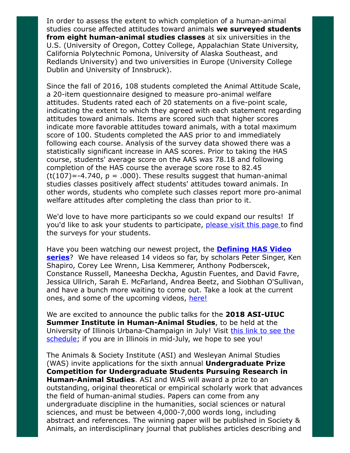In order to assess the extent to which completion of a human-animal studies course affected attitudes toward animals **we surveyed students from eight human-animal studies classes** at six universities in the U.S. (University of Oregon, Cottey College, Appalachian State University, California Polytechnic Pomona, University of Alaska Southeast, and Redlands University) and two universities in Europe (University College Dublin and University of Innsbruck).

Since the fall of 2016, 108 students completed the Animal Attitude Scale, a 20-item questionnaire designed to measure pro-animal welfare attitudes. Students rated each of 20 statements on a five-point scale, indicating the extent to which they agreed with each statement regarding attitudes toward animals. Items are scored such that higher scores indicate more favorable attitudes toward animals, with a total maximum score of 100. Students completed the AAS prior to and immediately following each course. Analysis of the survey data showed there was a statistically significant increase in AAS scores. Prior to taking the HAS course, students' average score on the AAS was 78.18 and following completion of the HAS course the average score rose to 82.45  $(t(107)=-4.740, p = .000)$ . These results suggest that human-animal studies classes positively affect students' attitudes toward animals. In other words, students who complete such classes report more pro-animal welfare attitudes after completing the class than prior to it.

We'd love to have more participants so we could expand our results! If you'd like to ask your students to participate, [please visit this page t](https://www.animalsandsociety.org/human-animal-studies/hasresource/animal-attitudes-survey-students/)o find the surveys for your students.

Have you been watching our newest project, the **Defining HAS Video series**[? We have released 14 videos so far, by scholars Peter Singer, K](https://www.animalsandsociety.org/human-animal-studies/defining-human-animal-studies-an-asi-video-project/)en Shapiro, Corey Lee Wrenn, Lisa Kemmerer, Anthony Podberscek, Constance Russell, Maneesha Deckha, Agustin Fuentes, and David Favre, Jessica Ullrich, Sarah E. McFarland, Andrea Beetz, and Siobhan O'Sullivan, and have a bunch more waiting to come out. Take a look at the current ones, and some of the upcoming videos, [here!](https://www.animalsandsociety.org/human-animal-studies/defining-human-animal-studies-an-asi-video-project/)

We are excited to announce the public talks for the **2018 ASI-UIUC Summer Institute in Human-Animal Studies**, to be held at the [University of Illinois Urbana-Champaign in July! Visit this link to see the](http://www.animalsandsociety.org/human-animal-studies/asi-uiuc-summer-institute-human-animal-studies/2018-asi-uiuc-summer-institute-public-schedule/) schedule; if you are in Illinois in mid-July, we hope to see you!

The Animals & Society Institute (ASI) and Wesleyan Animal Studies (WAS) invite applications for the sixth annual **Undergraduate Prize Competition for Undergraduate Students Pursuing Research in Human-Animal Studies**. ASI and WAS will award a prize to an outstanding, original theoretical or empirical scholarly work that advances the field of human-animal studies. Papers can come from any undergraduate discipline in the humanities, social sciences or natural sciences, and must be between 4,000-7,000 words long, including abstract and references. The winning paper will be published in Society & Animals, an interdisciplinary journal that publishes articles describing and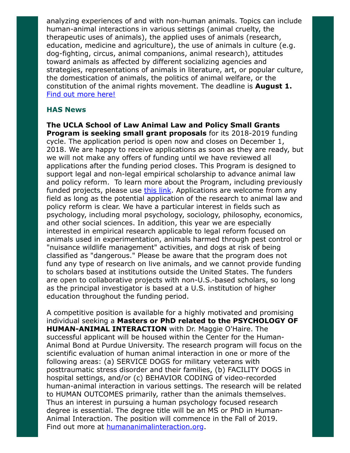analyzing experiences of and with non-human animals. Topics can include human-animal interactions in various settings (animal cruelty, the therapeutic uses of animals), the applied uses of animals (research, education, medicine and agriculture), the use of animals in culture (e.g. dog-fighting, circus, animal companions, animal research), attitudes toward animals as affected by different socializing agencies and strategies, representations of animals in literature, art, or popular culture, the domestication of animals, the politics of animal welfare, or the constitution of the animal rights movement. The deadline is **August 1.** [Find out more here!](https://www.animalsandsociety.org/call-for-submissions-asi-was-undergraduate-paper-prize-in-human-animal-studies/)

### **HAS News**

**The UCLA School of Law Animal Law and Policy Small Grants Program is seeking small grant proposals** for its 2018-2019 funding cycle. The application period is open now and closes on December 1, 2018. We are happy to receive applications as soon as they are ready, but we will not make any offers of funding until we have reviewed all applications after the funding period closes. This Program is designed to support legal and non-legal empirical scholarship to advance animal law and policy reform. To learn more about the Program, including previously funded projects, please use [this link.](http://law.ucla.edu/centers/social-policy/animal-law-grants-program/about/) Applications are welcome from any field as long as the potential application of the research to animal law and policy reform is clear. We have a particular interest in fields such as psychology, including moral psychology, sociology, philosophy, economics, and other social sciences. In addition, this year we are especially interested in empirical research applicable to legal reform focused on animals used in experimentation, animals harmed through pest control or "nuisance wildlife management" activities, and dogs at risk of being classified as "dangerous." Please be aware that the program does not fund any type of research on live animals, and we cannot provide funding to scholars based at institutions outside the United States. The funders are open to collaborative projects with non-U.S.-based scholars, so long as the principal investigator is based at a U.S. institution of higher education throughout the funding period.

A competitive position is available for a highly motivated and promising individual seeking a **Masters or PhD related to the PSYCHOLOGY OF HUMAN-ANIMAL INTERACTION** with Dr. Maggie O'Haire. The successful applicant will be housed within the Center for the Human-Animal Bond at Purdue University. The research program will focus on the scientific evaluation of human animal interaction in one or more of the following areas: (a) SERVICE DOGS for military veterans with posttraumatic stress disorder and their families, (b) FACILITY DOGS in hospital settings, and/or (c) BEHAVIOR CODING of video-recorded human-animal interaction in various settings. The research will be related to HUMAN OUTCOMES primarily, rather than the animals themselves. Thus an interest in pursuing a human psychology focused research degree is essential. The degree title will be an MS or PhD in Human-Animal Interaction. The position will commence in the Fall of 2019. Find out more at **humananimalinteraction.org**.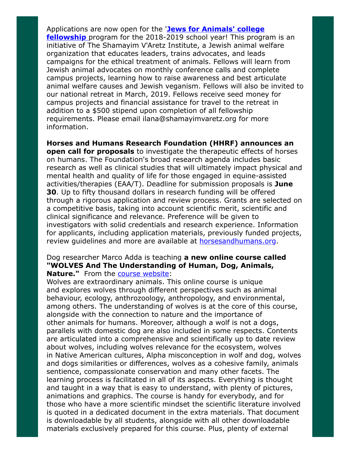Applications are now open for the '**Jews for Animals' college fellowship** [program for the 2018-2019 school year! This progr](http://www.shamayimvaretz.org/fellowship-information.html)am is an initiative of The Shamayim V'Aretz Institute, a Jewish animal welfare organization that educates leaders, trains advocates, and leads campaigns for the ethical treatment of animals. Fellows will learn from Jewish animal advocates on monthly conference calls and complete campus projects, learning how to raise awareness and best articulate animal welfare causes and Jewish veganism. Fellows will also be invited to our national retreat in March, 2019. Fellows receive seed money for campus projects and financial assistance for travel to the retreat in addition to a \$500 stipend upon completion of all fellowship requirements. Please email ilana@shamayimvaretz.org for more information.

**Horses and Humans Research Foundation (HHRF) announces an open call for proposals** to investigate the therapeutic effects of horses on humans. The Foundation's broad research agenda includes basic research as well as clinical studies that will ultimately impact physical and mental health and quality of life for those engaged in equine-assisted activities/therapies (EAA/T). Deadline for submission proposals is **June 30**. Up to fifty thousand dollars in research funding will be offered through a rigorous application and review process. Grants are selected on a competitive basis, taking into account scientific merit, scientific and clinical significance and relevance. Preference will be given to investigators with solid credentials and research experience. Information for applicants, including application materials, previously funded projects, review guidelines and more are available at **horsesandhumans.org**.

#### Dog researcher Marco Adda is teaching **a new online course called "WOLVES And The Understanding of Human, Dog, Animals, Nature."** From the [course website:](https://www.udemy.com/wolves-the-most-wonderful-animals-on-earth/)

Wolves are extraordinary animals. This online course is unique and explores wolves through different perspectives such as animal behaviour, ecology, anthrozoology, anthropology, and environmental, among others. The understanding of wolves is at the core of this course, alongside with the connection to nature and the importance of other animals for humans. Moreover, although a wolf is not a dogs, parallels with domestic dog are also included in some respects. Contents are articulated into a comprehensive and scientifically up to date review about wolves, including wolves relevance for the ecosystem, wolves in Native American cultures, Alpha misconception in wolf and dog, wolves and dogs similarities or differences, wolves as a cohesive family, animals sentience, compassionate conservation and many other facets. The learning process is facilitated in all of its aspects. Everything is thought and taught in a way that is easy to understand, with plenty of pictures, animations and graphics. The course is handy for everybody, and for those who have a more scientific mindset the scientific literature involved is quoted in a dedicated document in the extra materials. That document is downloadable by all students, alongside with all other downloadable materials exclusively prepared for this course. Plus, plenty of external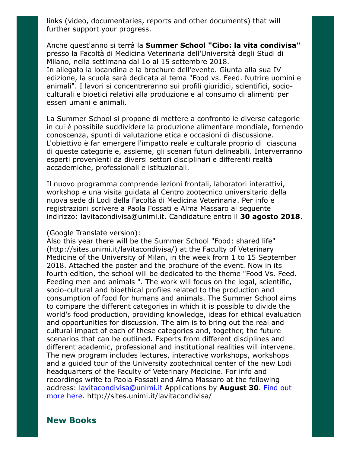links (video, documentaries, reports and other documents) that will further support your progress.

Anche quest'anno si terrà la **Summer School "Cibo: la vita condivisa"** presso la Facoltà di Medicina Veterinaria dell'Università degli Studi di Milano, nella settimana dal 1o al 15 settembre 2018.

In allegato la locandina e la brochure dell'evento. Giunta alla sua IV edizione, la scuola sarà dedicata al tema "Food vs. Feed. Nutrire uomini e animali". I lavori si concentreranno sui profili giuridici, scientifici, socioculturali e bioetici relativi alla produzione e al consumo di alimenti per esseri umani e animali.

La Summer School si propone di mettere a confronto le diverse categorie in cui è possibile suddividere la produzione alimentare mondiale, fornendo conoscenza, spunti di valutazione etica e occasioni di discussione. L'obiettivo è far emergere l'impatto reale e culturale proprio di ciascuna di queste categorie e, assieme, gli scenari futuri delineabili. Interverranno esperti provenienti da diversi settori disciplinari e differenti realtà accademiche, professionali e istituzionali.

Il nuovo programma comprende lezioni frontali, laboratori interattivi, workshop e una visita guidata al Centro zootecnico universitario della nuova sede di Lodi della Facoltà di Medicina Veterinaria. Per info e registrazioni scrivere a Paola Fossati e Alma Massaro al seguente indirizzo: lavitacondivisa@unimi.it. Candidature entro il **30 agosto 2018**.

#### (Google Translate version):

Also this year there will be the Summer School "Food: shared life" (http://sites.unimi.it/lavitacondivisa/) at the Faculty of Veterinary Medicine of the University of Milan, in the week from 1 to 15 September 2018. Attached the poster and the brochure of the event. Now in its fourth edition, the school will be dedicated to the theme "Food Vs. Feed. Feeding men and animals ". The work will focus on the legal, scientific, socio-cultural and bioethical profiles related to the production and consumption of food for humans and animals. The Summer School aims to compare the different categories in which it is possible to divide the world's food production, providing knowledge, ideas for ethical evaluation and opportunities for discussion. The aim is to bring out the real and cultural impact of each of these categories and, together, the future scenarios that can be outlined. Experts from different disciplines and different academic, professional and institutional realities will intervene. The new program includes lectures, interactive workshops, workshops and a guided tour of the University zootechnical center of the new Lodi headquarters of the Faculty of Veterinary Medicine. For info and recordings write to Paola Fossati and Alma Massaro at the following [address: lavitacondivisa@unimi.it Applications by](http://sites.unimi.it/lavitacondivisa/) **August 30**. Find out more here. http://sites.unimi.it/lavitacondivisa/

## **New Books**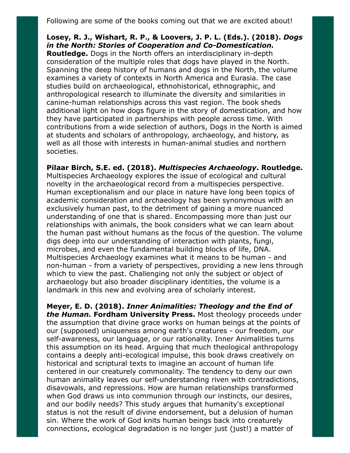Following are some of the books coming out that we are excited about!

**Losey, R. J., Wishart, R. P., & Loovers, J. P. L. (Eds.). (2018).** *Dogs in the North: Stories of Cooperation and Co-Domestication.* **Routledge.** Dogs in the North offers an interdisciplinary in-depth consideration of the multiple roles that dogs have played in the North. Spanning the deep history of humans and dogs in the North, the volume examines a variety of contexts in North America and Eurasia. The case studies build on archaeological, ethnohistorical, ethnographic, and anthropological research to illuminate the diversity and similarities in canine-human relationships across this vast region. The book sheds additional light on how dogs figure in the story of domestication, and how they have participated in partnerships with people across time. With contributions from a wide selection of authors, Dogs in the North is aimed at students and scholars of anthropology, archaeology, and history, as well as all those with interests in human-animal studies and northern societies.

**Pilaar Birch, S.E. ed. (2018).** *Multispecies Archaeology***. Routledge.** Multispecies Archaeology explores the issue of ecological and cultural novelty in the archaeological record from a multispecies perspective. Human exceptionalism and our place in nature have long been topics of academic consideration and archaeology has been synonymous with an exclusively human past, to the detriment of gaining a more nuanced understanding of one that is shared. Encompassing more than just our relationships with animals, the book considers what we can learn about the human past without humans as the focus of the question. The volume digs deep into our understanding of interaction with plants, fungi, microbes, and even the fundamental building blocks of life, DNA. Multispecies Archaeology examines what it means to be human - and non-human - from a variety of perspectives, providing a new lens through which to view the past. Challenging not only the subject or object of archaeology but also broader disciplinary identities, the volume is a landmark in this new and evolving area of scholarly interest.

**Meyer, E. D. (2018).** *Inner Animalities: Theology and the End of the Human.* **Fordham University Press.** Most theology proceeds under the assumption that divine grace works on human beings at the points of our (supposed) uniqueness among earth's creatures - our freedom, our self-awareness, our language, or our rationality. Inner Animalities turns this assumption on its head. Arguing that much theological anthropology contains a deeply anti-ecological impulse, this book draws creatively on historical and scriptural texts to imagine an account of human life centered in our creaturely commonality. The tendency to deny our own human animality leaves our self-understanding riven with contradictions, disavowals, and repressions. How are human relationships transformed when God draws us into communion through our instincts, our desires, and our bodily needs? This study argues that humanity's exceptional status is not the result of divine endorsement, but a delusion of human sin. Where the work of God knits human beings back into creaturely connections, ecological degradation is no longer just (just!) a matter of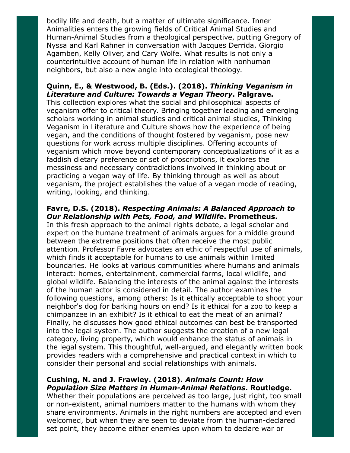bodily life and death, but a matter of ultimate significance. Inner Animalities enters the growing fields of Critical Animal Studies and Human-Animal Studies from a theological perspective, putting Gregory of Nyssa and Karl Rahner in conversation with Jacques Derrida, Giorgio Agamben, Kelly Oliver, and Cary Wolfe. What results is not only a counterintuitive account of human life in relation with nonhuman neighbors, but also a new angle into ecological theology.

## **Quinn, E., & Westwood, B. (Eds.). (2018).** *Thinking Veganism in Literature and Culture: Towards a Vegan Theory***. Palgrave.**

This collection explores what the social and philosophical aspects of veganism offer to critical theory. Bringing together leading and emerging scholars working in animal studies and critical animal studies, Thinking Veganism in Literature and Culture shows how the experience of being vegan, and the conditions of thought fostered by veganism, pose new questions for work across multiple disciplines. Offering accounts of veganism which move beyond contemporary conceptualizations of it as a faddish dietary preference or set of proscriptions, it explores the messiness and necessary contradictions involved in thinking about or practicing a vegan way of life. By thinking through as well as about veganism, the project establishes the value of a vegan mode of reading, writing, looking, and thinking.

#### **Favre, D.S. (2018).** *Respecting Animals: A Balanced Approach to Our Relationship with Pets, Food, and Wildlife***. Prometheus.**

In this fresh approach to the animal rights debate, a legal scholar and expert on the humane treatment of animals argues for a middle ground between the extreme positions that often receive the most public attention. Professor Favre advocates an ethic of respectful use of animals, which finds it acceptable for humans to use animals within limited boundaries. He looks at various communities where humans and animals interact: homes, entertainment, commercial farms, local wildlife, and global wildlife. Balancing the interests of the animal against the interests of the human actor is considered in detail. The author examines the following questions, among others: Is it ethically acceptable to shoot your neighbor's dog for barking hours on end? Is it ethical for a zoo to keep a chimpanzee in an exhibit? Is it ethical to eat the meat of an animal? Finally, he discusses how good ethical outcomes can best be transported into the legal system. The author suggests the creation of a new legal category, living property, which would enhance the status of animals in the legal system. This thoughtful, well-argued, and elegantly written book provides readers with a comprehensive and practical context in which to consider their personal and social relationships with animals.

## **Cushing, N. and J. Frawley. (2018).** *Animals Count: How Population Size Matters in Human-Animal Relations***. Routledge.**

Whether their populations are perceived as too large, just right, too small or non-existent, animal numbers matter to the humans with whom they share environments. Animals in the right numbers are accepted and even welcomed, but when they are seen to deviate from the human-declared set point, they become either enemies upon whom to declare war or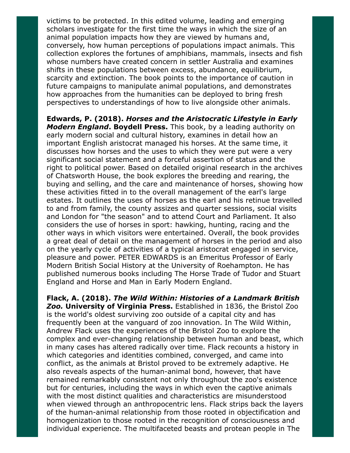victims to be protected. In this edited volume, leading and emerging scholars investigate for the first time the ways in which the size of an animal population impacts how they are viewed by humans and, conversely, how human perceptions of populations impact animals. This collection explores the fortunes of amphibians, mammals, insects and fish whose numbers have created concern in settler Australia and examines shifts in these populations between excess, abundance, equilibrium, scarcity and extinction. The book points to the importance of caution in future campaigns to manipulate animal populations, and demonstrates how approaches from the humanities can be deployed to bring fresh perspectives to understandings of how to live alongside other animals.

**Edwards, P. (2018).** *Horses and the Aristocratic Lifestyle in Early Modern England***. Boydell Press.** This book, by a leading authority on early modern social and cultural history, examines in detail how an important English aristocrat managed his horses. At the same time, it discusses how horses and the uses to which they were put were a very significant social statement and a forceful assertion of status and the right to political power. Based on detailed original research in the archives of Chatsworth House, the book explores the breeding and rearing, the buying and selling, and the care and maintenance of horses, showing how these activities fitted in to the overall management of the earl's large estates. It outlines the uses of horses as the earl and his retinue travelled to and from family, the county assizes and quarter sessions, social visits and London for "the season" and to attend Court and Parliament. It also considers the use of horses in sport: hawking, hunting, racing and the other ways in which visitors were entertained. Overall, the book provides a great deal of detail on the management of horses in the period and also on the yearly cycle of activities of a typical aristocrat engaged in service, pleasure and power. PETER EDWARDS is an Emeritus Professor of Early Modern British Social History at the University of Roehampton. He has published numerous books including The Horse Trade of Tudor and Stuart England and Horse and Man in Early Modern England.

**Flack, A. (2018).** *The Wild Within: Histories of a Landmark British Zoo.* **University of Virginia Press.** Established in 1836, the Bristol Zoo is the world's oldest surviving zoo outside of a capital city and has frequently been at the vanguard of zoo innovation. In The Wild Within, Andrew Flack uses the experiences of the Bristol Zoo to explore the complex and ever-changing relationship between human and beast, which in many cases has altered radically over time. Flack recounts a history in which categories and identities combined, converged, and came into conflict, as the animals at Bristol proved to be extremely adaptive. He also reveals aspects of the human-animal bond, however, that have remained remarkably consistent not only throughout the zoo's existence but for centuries, including the ways in which even the captive animals with the most distinct qualities and characteristics are misunderstood when viewed through an anthropocentric lens. Flack strips back the layers of the human-animal relationship from those rooted in objectification and homogenization to those rooted in the recognition of consciousness and individual experience. The multifaceted beasts and protean people in The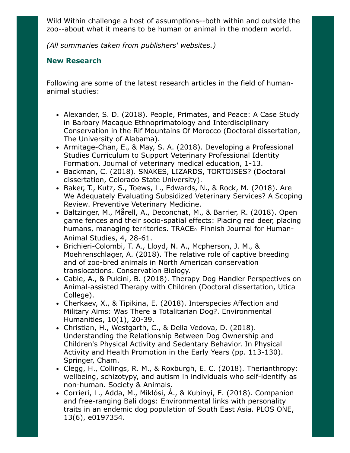Wild Within challenge a host of assumptions--both within and outside the zoo--about what it means to be human or animal in the modern world.

*(All summaries taken from publishers' websites.)*

## **New Research**

Following are some of the latest research articles in the field of humananimal studies:

- Alexander, S. D. (2018). People, Primates, and Peace: A Case Study in Barbary Macaque Ethnoprimatology and Interdisciplinary Conservation in the Rif Mountains Of Morocco (Doctoral dissertation, The University of Alabama).
- Armitage-Chan, E., & May, S. A. (2018). Developing a Professional Studies Curriculum to Support Veterinary Professional Identity Formation. Journal of veterinary medical education, 1-13.
- Backman, C. (2018). SNAKES, LIZARDS, TORTOISES? (Doctoral dissertation, Colorado State University).
- Baker, T., Kutz, S., Toews, L., Edwards, N., & Rock, M. (2018). Are We Adequately Evaluating Subsidized Veterinary Services? A Scoping Review. Preventive Veterinary Medicine.
- Baltzinger, M., Mårell, A., Deconchat, M., & Barrier, R. (2018). Open game fences and their socio-spatial effects: Placing red deer, placing humans, managing territories. TRACE∴ Finnish Journal for Human-Animal Studies, 4, 28-61.
- Brichieri-Colombi, T. A., Lloyd, N. A., Mcpherson, J. M., & Moehrenschlager, A. (2018). The relative role of captive breeding and of zoo-bred animals in North American conservation translocations. Conservation Biology.
- Cable, A., & Pulcini, B. (2018). Therapy Dog Handler Perspectives on Animal-assisted Therapy with Children (Doctoral dissertation, Utica College).
- Cherkaev, X., & Tipikina, E. (2018). Interspecies Affection and Military Aims: Was There a Totalitarian Dog?. Environmental Humanities, 10(1), 20-39.
- Christian, H., Westgarth, C., & Della Vedova, D. (2018). Understanding the Relationship Between Dog Ownership and Children's Physical Activity and Sedentary Behavior. In Physical Activity and Health Promotion in the Early Years (pp. 113-130). Springer, Cham.
- Clegg, H., Collings, R. M., & Roxburgh, E. C. (2018). Therianthropy: wellbeing, schizotypy, and autism in individuals who self-identify as non-human. Society & Animals.
- Corrieri, L., Adda, M., Miklósi, Á., & Kubinyi, E. (2018). Companion and free-ranging Bali dogs: Environmental links with personality traits in an endemic dog population of South East Asia. PLOS ONE, 13(6), e0197354.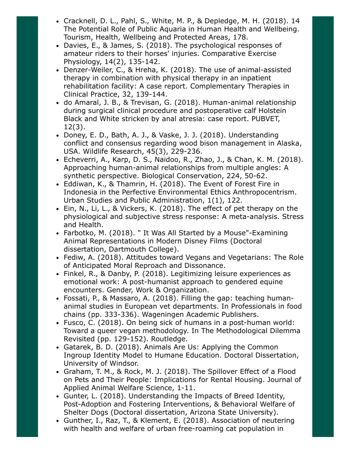- Cracknell, D. L., Pahl, S., White, M. P., & Depledge, M. H. (2018). 14 The Potential Role of Public Aquaria in Human Health and Wellbeing. Tourism, Health, Wellbeing and Protected Areas, 178.
- Davies, E., & James, S. (2018). The psychological responses of amateur riders to their horses' injuries. Comparative Exercise Physiology, 14(2), 135-142.
- Denzer-Weiler, C., & Hreha, K. (2018). The use of animal-assisted therapy in combination with physical therapy in an inpatient rehabilitation facility: A case report. Complementary Therapies in Clinical Practice, 32, 139-144.
- do Amaral, J. B., & Trevisan, G. (2018). Human-animal relationship during surgical clinical procedure and postoperative calf Holstein Black and White stricken by anal atresia: case report. PUBVET, 12(3).
- Doney, E. D., Bath, A. J., & Vaske, J. J. (2018). Understanding conflict and consensus regarding wood bison management in Alaska, USA. Wildlife Research, 45(3), 229-236.
- Echeverri, A., Karp, D. S., Naidoo, R., Zhao, J., & Chan, K. M. (2018). Approaching human-animal relationships from multiple angles: A synthetic perspective. Biological Conservation, 224, 50-62.
- Eddiwan, K., & Thamrin, H. (2018). The Event of Forest Fire in Indonesia in the Perfective Environmental Ethics Anthropocentrism. Urban Studies and Public Administration, 1(1), 122.
- Ein, N., Li, L., & Vickers, K. (2018). The effect of pet therapy on the physiological and subjective stress response: A meta-analysis. Stress and Health.
- Farbotko, M. (2018). " It Was All Started by a Mouse"-Examining Animal Representations in Modern Disney Films (Doctoral dissertation, Dartmouth College).
- Fediw, A. (2018). Attitudes toward Vegans and Vegetarians: The Role of Anticipated Moral Reproach and Dissonance.
- Finkel, R., & Danby, P. (2018). Legitimizing leisure experiences as emotional work: A post-humanist approach to gendered equine encounters. Gender, Work & Organization.
- Fossati, P., & Massaro, A. (2018). Filling the gap: teaching humananimal studies in European vet departments. In Professionals in food chains (pp. 333-336). Wageningen Academic Publishers.
- Fusco, C. (2018). On being sick of humans in a post-human world: Toward a queer vegan methodology. In The Methodological Dilemma Revisited (pp. 129-152). Routledge.
- Gatarek, B. D. (2018). Animals Are Us: Applying the Common Ingroup Identity Model to Humane Education. Doctoral Dissertation, University of Windsor.
- Graham, T. M., & Rock, M. J. (2018). The Spillover Effect of a Flood on Pets and Their People: Implications for Rental Housing. Journal of Applied Animal Welfare Science, 1-11.
- Gunter, L. (2018). Understanding the Impacts of Breed Identity, Post-Adoption and Fostering Interventions, & Behavioral Welfare of Shelter Dogs (Doctoral dissertation, Arizona State University).
- Gunther, I., Raz, T., & Klement, E. (2018). Association of neutering with health and welfare of urban free-roaming cat population in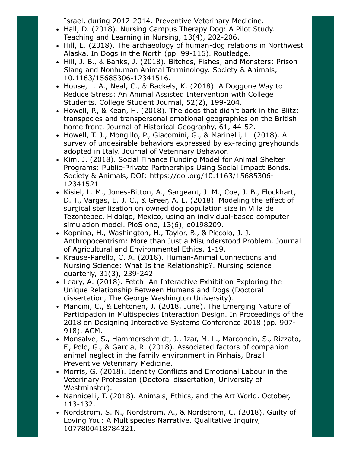Israel, during 2012-2014. Preventive Veterinary Medicine.

- Hall, D. (2018). Nursing Campus Therapy Dog: A Pilot Study. Teaching and Learning in Nursing, 13(4), 202-206.
- Hill, E. (2018). The archaeology of human-dog relations in Northwest Alaska. In Dogs in the North (pp. 99-116). Routledge.
- Hill, J. B., & Banks, J. (2018). Bitches, Fishes, and Monsters: Prison Slang and Nonhuman Animal Terminology. Society & Animals, 10.1163/15685306-12341516.
- House, L. A., Neal, C., & Backels, K. (2018). A Doggone Way to Reduce Stress: An Animal Assisted Intervention with College Students. College Student Journal, 52(2), 199-204.
- Howell, P., & Kean, H. (2018). The dogs that didn't bark in the Blitz: transpecies and transpersonal emotional geographies on the British home front. Journal of Historical Geography, 61, 44-52.
- Howell, T. J., Mongillo, P., Giacomini, G., & Marinelli, L. (2018). A survey of undesirable behaviors expressed by ex-racing greyhounds adopted in Italy. Journal of Veterinary Behavior.
- Kim, J. (2018). Social Finance Funding Model for Animal Shelter Programs: Public-Private Partnerships Using Social Impact Bonds. Society & Animals, DOI: https://doi.org/10.1163/15685306- 12341521
- Kisiel, L. M., Jones-Bitton, A., Sargeant, J. M., Coe, J. B., Flockhart, D. T., Vargas, E. J. C., & Greer, A. L. (2018). Modeling the effect of surgical sterilization on owned dog population size in Villa de Tezontepec, Hidalgo, Mexico, using an individual-based computer simulation model. PloS one, 13(6), e0198209.
- Kopnina, H., Washington, H., Taylor, B., & Piccolo, J. J. Anthropocentrism: More than Just a Misunderstood Problem. Journal of Agricultural and Environmental Ethics, 1-19.
- Krause-Parello, C. A. (2018). Human-Animal Connections and Nursing Science: What Is the Relationship?. Nursing science quarterly, 31(3), 239-242.
- Leary, A. (2018). Fetch! An Interactive Exhibition Exploring the Unique Relationship Between Humans and Dogs (Doctoral dissertation, The George Washington University).
- Mancini, C., & Lehtonen, J. (2018, June). The Emerging Nature of Participation in Multispecies Interaction Design. In Proceedings of the 2018 on Designing Interactive Systems Conference 2018 (pp. 907- 918). ACM.
- Monsalve, S., Hammerschmidt, J., Izar, M. L., Marconcin, S., Rizzato, F., Polo, G., & Garcia, R. (2018). Associated factors of companion animal neglect in the family environment in Pinhais, Brazil. Preventive Veterinary Medicine.
- Morris, G. (2018). Identity Conflicts and Emotional Labour in the Veterinary Profession (Doctoral dissertation, University of Westminster).
- Nannicelli, T. (2018). Animals, Ethics, and the Art World. October, 113-132.
- Nordstrom, S. N., Nordstrom, A., & Nordstrom, C. (2018). Guilty of Loving You: A Multispecies Narrative. Qualitative Inquiry, 1077800418784321.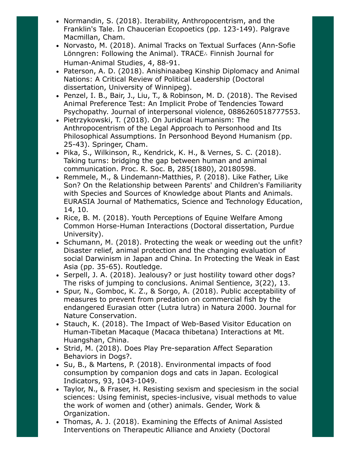- Normandin, S. (2018). Iterability, Anthropocentrism, and the Franklin's Tale. In Chaucerian Ecopoetics (pp. 123-149). Palgrave Macmillan, Cham.
- Norvasto, M. (2018). Animal Tracks on Textual Surfaces (Ann-Sofie Lönngren: Following the Animal). TRACE∴ Finnish Journal for Human-Animal Studies, 4, 88-91.
- Paterson, A. D. (2018). Anishinaabeg Kinship Diplomacy and Animal Nations: A Critical Review of Political Leadership (Doctoral dissertation, University of Winnipeg).
- Penzel, I. B., Bair, J., Liu, T., & Robinson, M. D. (2018). The Revised Animal Preference Test: An Implicit Probe of Tendencies Toward Psychopathy. Journal of interpersonal violence, 0886260518777553.
- Pietrzykowski, T. (2018). On Juridical Humanism: The Anthropocentrism of the Legal Approach to Personhood and Its Philosophical Assumptions. In Personhood Beyond Humanism (pp. 25-43). Springer, Cham.
- Pika, S., Wilkinson, R., Kendrick, K. H., & Vernes, S. C. (2018). Taking turns: bridging the gap between human and animal communication. Proc. R. Soc. B, 285(1880), 20180598.
- Remmele, M., & Lindemann-Matthies, P. (2018). Like Father, Like Son? On the Relationship between Parents' and Children's Familiarity with Species and Sources of Knowledge about Plants and Animals. EURASIA Journal of Mathematics, Science and Technology Education, 14, 10.
- Rice, B. M. (2018). Youth Perceptions of Equine Welfare Among Common Horse-Human Interactions (Doctoral dissertation, Purdue University).
- Schumann, M. (2018). Protecting the weak or weeding out the unfit? Disaster relief, animal protection and the changing evaluation of social Darwinism in Japan and China. In Protecting the Weak in East Asia (pp. 35-65). Routledge.
- Serpell, J. A. (2018). Jealousy? or just hostility toward other dogs? The risks of jumping to conclusions. Animal Sentience, 3(22), 13.
- Spur, N., Gomboc, K. Z., & Sorgo, A. (2018). Public acceptability of measures to prevent from predation on commercial fish by the endangered Eurasian otter (Lutra lutra) in Natura 2000. Journal for Nature Conservation.
- Stauch, K. (2018). The Impact of Web-Based Visitor Education on Human-Tibetan Macaque (Macaca thibetana) Interactions at Mt. Huangshan, China.
- Strid, M. (2018). Does Play Pre-separation Affect Separation Behaviors in Dogs?.
- Su, B., & Martens, P. (2018). Environmental impacts of food consumption by companion dogs and cats in Japan. Ecological Indicators, 93, 1043-1049.
- Taylor, N., & Fraser, H. Resisting sexism and speciesism in the social sciences: Using feminist, species-inclusive, visual methods to value the work of women and (other) animals. Gender, Work & Organization.
- Thomas, A. J. (2018). Examining the Effects of Animal Assisted Interventions on Therapeutic Alliance and Anxiety (Doctoral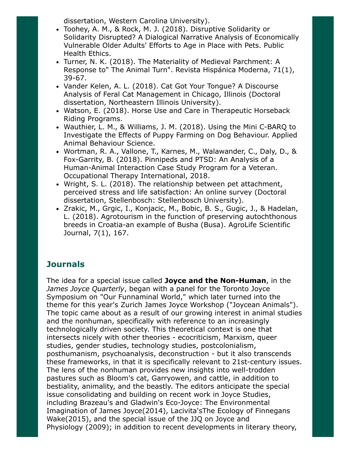dissertation, Western Carolina University).

- Toohey, A. M., & Rock, M. J. (2018). Disruptive Solidarity or Solidarity Disrupted? A Dialogical Narrative Analysis of Economically Vulnerable Older Adults' Efforts to Age in Place with Pets. Public Health Ethics.
- Turner, N. K. (2018). The Materiality of Medieval Parchment: A Response to" The Animal Turn". Revista Hispánica Moderna, 71(1), 39-67.
- Vander Kelen, A. L. (2018). Cat Got Your Tongue? A Discourse Analysis of Feral Cat Management in Chicago, Illinois (Doctoral dissertation, Northeastern Illinois University).
- Watson, E. (2018). Horse Use and Care in Therapeutic Horseback Riding Programs.
- Wauthier, L. M., & Williams, J. M. (2018). Using the Mini C-BARQ to Investigate the Effects of Puppy Farming on Dog Behaviour. Applied Animal Behaviour Science.
- Wortman, R. A., Vallone, T., Karnes, M., Walawander, C., Daly, D., & Fox-Garrity, B. (2018). Pinnipeds and PTSD: An Analysis of a Human-Animal Interaction Case Study Program for a Veteran. Occupational Therapy International, 2018.
- Wright, S. L. (2018). The relationship between pet attachment, perceived stress and life satisfaction: An online survey (Doctoral dissertation, Stellenbosch: Stellenbosch University).
- Zrakic, M., Grgic, I., Konjacic, M., Bobic, B. S., Gugic, J., & Hadelan, L. (2018). Agrotourism in the function of preserving autochthonous breeds in Croatia-an example of Busha (Busa). AgroLife Scientific Journal, 7(1), 167.

# **Journals**

The idea for a special issue called **Joyce and the Non-Human**, in the *James Joyce Quarterly*, began with a panel for the Toronto Joyce Symposium on "Our Funnaminal World," which later turned into the theme for this year's Zurich James Joyce Workshop ("Joycean Animals"). The topic came about as a result of our growing interest in animal studies and the nonhuman, specifically with reference to an increasingly technologically driven society. This theoretical context is one that intersects nicely with other theories - ecocriticism, Marxism, queer studies, gender studies, technology studies, postcolonialism, posthumanism, psychoanalysis, deconstruction - but it also transcends these frameworks, in that it is specifically relevant to 21st-century issues. The lens of the nonhuman provides new insights into well-trodden pastures such as Bloom's cat, Garryowen, and cattle, in addition to bestiality, animality, and the beastly. The editors anticipate the special issue consolidating and building on recent work in Joyce Studies, including Brazeau's and Gladwin's Eco-Joyce: The Environmental Imagination of James Joyce(2014), Lacivita'sThe Ecology of Finnegans Wake(2015), and the special issue of the JJQ on Joyce and Physiology (2009); in addition to recent developments in literary theory,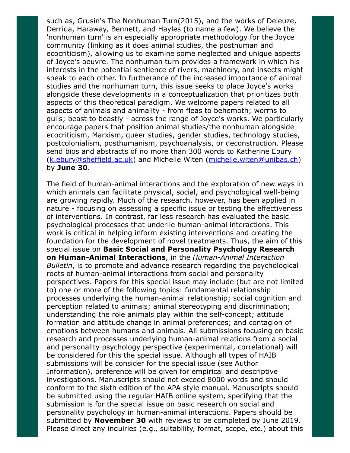such as, Grusin's The Nonhuman Turn(2015), and the works of Deleuze, Derrida, Haraway, Bennett, and Hayles (to name a few). We believe the 'nonhuman turn' is an especially appropriate methodology for the Joyce community (linking as it does animal studies, the posthuman and ecocriticism), allowing us to examine some neglected and unique aspects of Joyce's oeuvre. The nonhuman turn provides a framework in which his interests in the potential sentience of rivers, machinery, and insects might speak to each other. In furtherance of the increased importance of animal studies and the nonhuman turn, this issue seeks to place Joyce's works alongside these developments in a conceptualization that prioritizes both aspects of this theoretical paradigm. We welcome papers related to all aspects of animals and animality - from fleas to behemoth; worms to gulls; beast to beastly - across the range of Joyce's works. We particularly encourage papers that position animal studies/the nonhuman alongside ecocriticism, Marxism, queer studies, gender studies, technology studies, postcolonialism, posthumanism, psychoanalysis, or deconstruction. Please send bios and abstracts of no more than 300 words to Katherine Ebury ([k.ebury@sheffield.ac.uk](mailto:k.ebury@sheffield.ac.uk)) and Michelle Witen [\(michelle.witen@unibas.ch\)](mailto:michelle.witen@unibas.ch) by **June 30**.

The field of human-animal interactions and the exploration of new ways in which animals can facilitate physical, social, and psychological well-being are growing rapidly. Much of the research, however, has been applied in nature - focusing on assessing a specific issue or testing the effectiveness of interventions. In contrast, far less research has evaluated the basic psychological processes that underlie human-animal interactions. This work is critical in helping inform existing interventions and creating the foundation for the development of novel treatments. Thus, the aim of this special issue on **Basic Social and Personality Psychology Research on Human-Animal Interactions**, in the *Human-Animal Interaction Bulletin*, is to promote and advance research regarding the psychological roots of human-animal interactions from social and personality perspectives. Papers for this special issue may include (but are not limited to) one or more of the following topics: fundamental relationship processes underlying the human-animal relationship; social cognition and perception related to animals; animal stereotyping and discrimination; understanding the role animals play within the self-concept; attitude formation and attitude change in animal preferences; and contagion of emotions between humans and animals. All submissions focusing on basic research and processes underlying human-animal relations from a social and personality psychology perspective (experimental, correlational) will be considered for this the special issue. Although all types of HAIB submissions will be consider for the special issue (see Author Information), preference will be given for empirical and descriptive investigations. Manuscripts should not exceed 8000 words and should conform to the sixth edition of the APA style manual. Manuscripts should be submitted using the regular HAIB online system, specifying that the submission is for the special issue on basic research on social and personality psychology in human-animal interactions. Papers should be submitted by **November 30** with reviews to be completed by June 2019. Please direct any inquiries (e.g., suitability, format, scope, etc.) about this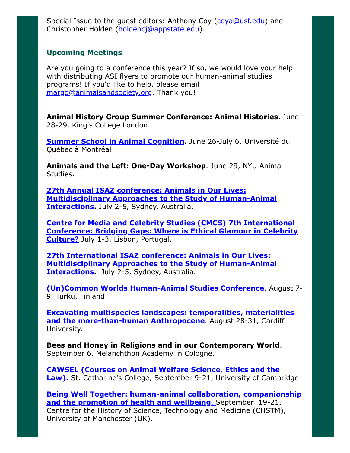Special Issue to the quest editors: Anthony Coy (cova@usf.edu) and Christopher Holden ([holdencj@appstate.edu](http://holdencj@appstate.edu/)).

## **Upcoming Meetings**

Are you going to a conference this year? If so, we would love your help with distributing ASI flyers to promote our human-animal studies programs! If you'd like to help, please email [margo@animalsandsociety.org](mailto:margo@animalsandsociety.org). Thank you!

**Animal History Group Summer Conference: Animal Histories**. June 28-29, King's College London.

**[Summer School in Animal Cognition.](https://sites.grenadine.uqam.ca/sites/isc/en/summer18)** June 26-July 6, Université du Québec à Montréal

**Animals and the Left: One-Day Workshop**. June 29, NYU Animal Studies.

**27th Annual ISAZ conference: Animals in Our Lives: [Multidisciplinary Approaches to the Study of Human-Animal](http://www.isaz2018.com/) Interactions.** July 2-5, Sydney, Australia.

**Centre for Media and Celebrity Studies (CMCS) 7th International [Conference: Bridging Gaps: Where is Ethical Glamour in Celebrity](http://cmc-centre.com/conferences/lisbon2018/) Culture?** July 1-3, Lisbon, Portugal.

**27th International ISAZ conference: Animals in Our Lives: [Multidisciplinary Approaches to the Study of Human-Animal](http://www.isaz2018.com/) Interactions.** July 2-5, Sydney, Australia.

**[\(Un\)Common Worlds Human-Animal Studies Conference](https://uncommonworlds.com/)**. August 7- 9, Turku, Finland

**[Excavating multispecies landscapes: temporalities, materialities](http://conference.rgs.org/AC2018/7de1fab9-88a1-4fa6-97ce-06e633b9527f) and the more-than-human Anthropocene**. August 28-31, Cardiff University.

**Bees and Honey in Religions and in our Contemporary World**. September 6, Melanchthon Academy in Cologne.

**[CAWSEL \(Courses on Animal Welfare Science, Ethics and the](http://cawsel.com/) Law).** St. Catharine's College, September 9-21, University of Cambridge

**[Being Well Together: human-animal collaboration, companionship](http://events.manchester.ac.uk/event/event:cn-ja0uyklb-g6h7ej/being-well-together) and the promotion of health and wellbeing**. September 19-21, Centre for the History of Science, Technology and Medicine (CHSTM), University of Manchester (UK).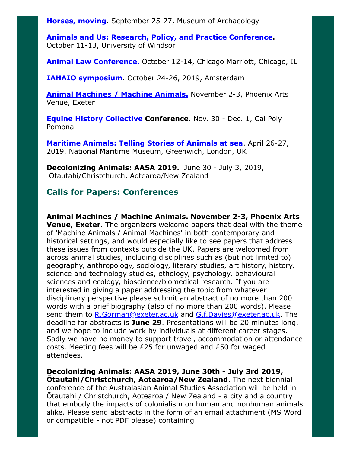**[Horses, moving](https://am.uis.no/forskning/konferanse-og-seminar/horses-moving-article123903-23252.html).** September 25-27, Museum of Archaeology

**[Animals and Us: Research, Policy, and Practice Conference.](http://www.uwindsor.ca/aipabuseresearchgroup/315/conference-animals-and-us)** October 11-13, University of Windsor

**[Animal Law Conference.](http://www.animallawconference.com/)** October 12-14, Chicago Marriott, Chicago, IL

**[IAHAIO symposium](http://iahaio.org/iahaio-at-amsterdam/)**. October 24-26, 2019, Amsterdam

**[Animal Machines / Machine Animals.](https://www.britishanimalstudiesnetwork.org.uk/FutureMeetings/AnimalMachines.aspx)** November 2-3, Phoenix Arts Venue, Exeter

**[Equine History Collective](https://equinehistory.wordpress.com/conference/) Conference.** Nov. 30 - Dec. 1, Cal Poly Pomona

**[Maritime Animals: Telling Stories of Animals at sea](https://research.kent.ac.uk/kentanimalhumanitiesnetwork/maritime-animals-conference/)**. April 26-27, 2019, National Maritime Museum, Greenwich, London, UK

**Decolonizing Animals: AASA 2019.** June 30 - July 3, 2019, Ōtautahi/Christchurch, Aotearoa/New Zealand

## **Calls for Papers: Conferences**

**Animal Machines / Machine Animals. November 2-3, Phoenix Arts Venue, Exeter.** The organizers welcome papers that deal with the theme of 'Machine Animals / Animal Machines' in both contemporary and historical settings, and would especially like to see papers that address these issues from contexts outside the UK. Papers are welcomed from across animal studies, including disciplines such as (but not limited to) geography, anthropology, sociology, literary studies, art history, history, science and technology studies, ethology, psychology, behavioural sciences and ecology, bioscience/biomedical research. If you are interested in giving a paper addressing the topic from whatever disciplinary perspective please submit an abstract of no more than 200 words with a brief biography (also of no more than 200 words). Please send them to [R.Gorman@exeter.ac.uk](mailto:R.Gorman@exeter.ac.uk) and [G.f.Davies@exeter.ac.uk.](mailto:G.f.Davies@exeter.ac.uk) The deadline for abstracts is **June 29**. Presentations will be 20 minutes long, and we hope to include work by individuals at different career stages. Sadly we have no money to support travel, accommodation or attendance costs. Meeting fees will be £25 for unwaged and £50 for waged attendees.

**Decolonizing Animals: AASA 2019, June 30th - July 3rd 2019, Ōtautahi/Christchurch, Aotearoa/New Zealand**. The next biennial conference of the Australasian Animal Studies Association will be held in Ōtautahi / Christchurch, Aotearoa / New Zealand - a city and a country that embody the impacts of colonialism on human and nonhuman animals alike. Please send abstracts in the form of an email attachment (MS Word or compatible - not PDF please) containing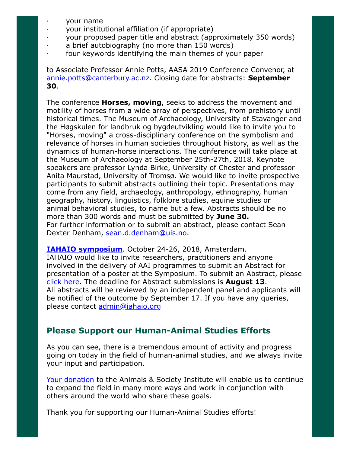- · your name
- · your institutional affiliation (if appropriate)
- · your proposed paper title and abstract (approximately 350 words)
- a brief autobiography (no more than 150 words)
- four keywords identifying the main themes of your paper

to Associate Professor Annie Potts, AASA 2019 Conference Convenor, at [annie.potts@canterbury.ac.nz.](mailto:annie.potts@canterbury.ac.nz) Closing date for abstracts: **September 30**.

The conference **Horses, moving**, seeks to address the movement and motility of horses from a wide array of perspectives, from prehistory until historical times. The Museum of Archaeology, University of Stavanger and the Høgskulen for landbruk og bygdeutvikling would like to invite you to "Horses, moving" a cross-disciplinary conference on the symbolism and relevance of horses in human societies throughout history, as well as the dynamics of human-horse interactions. The conference will take place at the Museum of Archaeology at September 25th-27th, 2018. Keynote speakers are professor Lynda Birke, University of Chester and professor Anita Maurstad, University of Tromsø. We would like to invite prospective participants to submit abstracts outlining their topic. Presentations may come from any field, archaeology, anthropology, ethnography, human geography, history, linguistics, folklore studies, equine studies or animal behavioral studies, to name but a few. Abstracts should be no more than 300 words and must be submitted by **June 30.** For further information or to submit an abstract, please contact Sean Dexter Denham, [sean.d.denham@uis.no.](mailto:sean.d.denham@uis.no)

**[IAHAIO symposium](http://iahaio.org/iahaio-at-amsterdam/)**. October 24-26, 2018, Amsterdam.

IAHAIO would like to invite researchers, practitioners and anyone involved in the delivery of AAI programmes to submit an Abstract for presentation of a poster at the Symposium. To submit an Abstract, please [click here.](https://app.oxfordabstracts.com/login?redirect=/stages/662/submission) The deadline for Abstract submissions is **August 13**. All abstracts will be reviewed by an independent panel and applicants will be notified of the outcome by September 17. If you have any queries, please contact [admin@iahaio.org](mailto:admin@iahaio.org)

# **Please Support our Human-Animal Studies Efforts**

As you can see, there is a tremendous amount of activity and progress going on today in the field of human-animal studies, and we always invite your input and participation.

[Your donation](https://www.givedirect.org/donate/?cid=4552) to the Animals & Society Institute will enable us to continue to expand the field in many more ways and work in conjunction with others around the world who share these goals.

Thank you for supporting our Human-Animal Studies efforts!